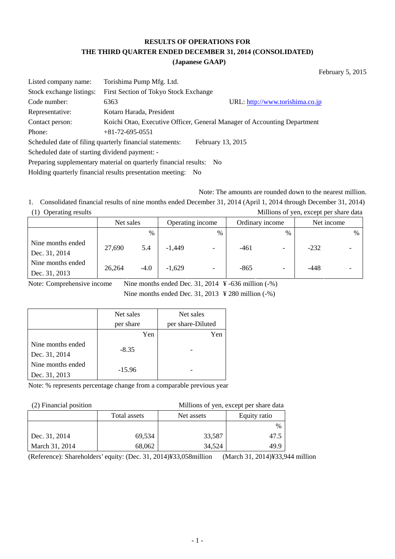## **RESULTS OF OPERATIONS FOR THE THIRD QUARTER ENDED DECEMBER 31, 2014 (CONSOLIDATED)**

### **(Japanese GAAP)**

February 5, 2015

| Listed company name:                                                | Torishima Pump Mfg. Ltd.                                 |                                                                          |  |  |
|---------------------------------------------------------------------|----------------------------------------------------------|--------------------------------------------------------------------------|--|--|
| Stock exchange listings:                                            | First Section of Tokyo Stock Exchange                    |                                                                          |  |  |
| Code number:                                                        | 6363                                                     | URL: http://www.torishima.co.jp                                          |  |  |
| Representative:                                                     | Kotaro Harada, President                                 |                                                                          |  |  |
| Contact person:                                                     |                                                          | Koichi Otao, Executive Officer, General Manager of Accounting Department |  |  |
| Phone:                                                              | $+81 - 72 - 695 - 0551$                                  |                                                                          |  |  |
|                                                                     | Scheduled date of filing quarterly financial statements: | February 13, 2015                                                        |  |  |
| Scheduled date of starting dividend payment: -                      |                                                          |                                                                          |  |  |
| Preparing supplementary material on quarterly financial results: No |                                                          |                                                                          |  |  |

Holding quarterly financial results presentation meeting: No

Note: The amounts are rounded down to the nearest million.

1. Consolidated financial results of nine months ended December 31, 2014 (April 1, 2014 through December 31, 2014) (1) Operating results Millions of yen, except per share data

|                                    | Net sales |               |          | Operating income         |        | Ordinary income |        | Net income |
|------------------------------------|-----------|---------------|----------|--------------------------|--------|-----------------|--------|------------|
|                                    |           | $\frac{0}{0}$ |          | $\frac{0}{0}$            |        | $\%$            |        | %          |
| Nine months ended<br>Dec. 31, 2014 | 27,690    | 5.4           | $-1,449$ |                          | -461   |                 | $-232$ |            |
| Nine months ended<br>Dec. 31, 2013 | 26.264    | $-4.0$        | $-1,629$ | $\overline{\phantom{a}}$ | $-865$ |                 | $-448$ |            |

Note: Comprehensive income Nine months ended Dec. 31, 2014 ¥ -636 million (-%)

Nine months ended Dec. 31, 2013 ¥ 280 million (-%)

|                   | Net sales | Net sales         |
|-------------------|-----------|-------------------|
|                   | per share | per share-Diluted |
|                   | Yen       | Yen               |
| Nine months ended | $-8.35$   |                   |
| Dec. 31, 2014     |           |                   |
| Nine months ended | $-15.96$  |                   |
| Dec. 31, 2013     |           |                   |

Note: % represents percentage change from a comparable previous year

(2) Financial position Millions of yen, except per share data

|                | Total assets | Net assets | Equity ratio |
|----------------|--------------|------------|--------------|
|                |              |            | $\%$         |
| Dec. 31, 2014  | 69,534       | 33,587     | 47.5         |
| March 31, 2014 | 68,062       | 34,524     | 49.9         |

(Reference): Shareholders' equity: (Dec. 31, 2014)¥33,058million (March 31, 2014)¥33,944 million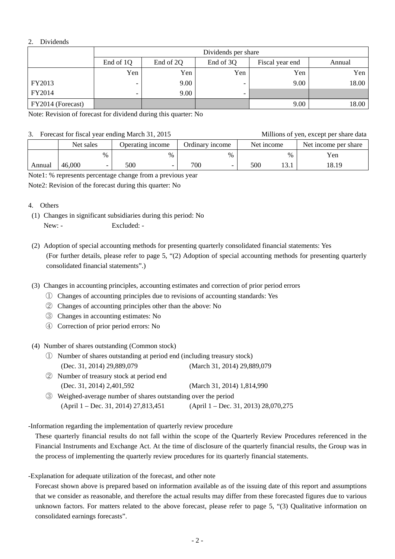### 2. Dividends

|                   | Dividends per share |                                                     |                          |      |       |  |  |  |  |  |
|-------------------|---------------------|-----------------------------------------------------|--------------------------|------|-------|--|--|--|--|--|
|                   | End of 1Q           | End of 3Q<br>End of 2Q<br>Fiscal year end<br>Annual |                          |      |       |  |  |  |  |  |
|                   | Yen                 | Yen                                                 | Yen                      | Yen  | Yen   |  |  |  |  |  |
| FY2013            | -                   | 9.00                                                |                          | 9.00 | 18.00 |  |  |  |  |  |
| FY2014            | -                   | 9.00                                                | $\overline{\phantom{0}}$ |      |       |  |  |  |  |  |
| FY2014 (Forecast) |                     |                                                     |                          | 9.00 | 18.00 |  |  |  |  |  |

Note: Revision of forecast for dividend during this quarter: No

### 3. Forecast for fiscal year ending March 31, 2015 Millions of yen, except per share data

|        | $\sigma$ . Porecast for fiscal year ending match $\sigma$ 1, 2015 |                          |                  |      |                 |      |            |      | <b>NUTRITIONS</b> OF YEAR, EXCEPT DEFINITE GATA |  |  |  |
|--------|-------------------------------------------------------------------|--------------------------|------------------|------|-----------------|------|------------|------|-------------------------------------------------|--|--|--|
|        | Net sales                                                         |                          | Operating income |      | Ordinary income |      | Net income |      | Net income per share                            |  |  |  |
|        |                                                                   | $\%$                     |                  | $\%$ |                 | $\%$ |            | $\%$ | Yen                                             |  |  |  |
| Annual | 46,000                                                            | $\overline{\phantom{0}}$ | 500              |      | 700             |      | 500        |      | 18.19                                           |  |  |  |

Note1: % represents percentage change from a previous year

Note2: Revision of the forecast during this quarter: No

### 4. Others

- (1) Changes in significant subsidiaries during this period: No New: - Excluded: -
- (2) Adoption of special accounting methods for presenting quarterly consolidated financial statements: Yes (For further details, please refer to page 5, "(2) Adoption of special accounting methods for presenting quarterly consolidated financial statements".)
- (3) Changes in accounting principles, accounting estimates and correction of prior period errors
	- ① Changes of accounting principles due to revisions of accounting standards: Yes
	- ② Changes of accounting principles other than the above: No
	- ③ Changes in accounting estimates: No
	- ④ Correction of prior period errors: No

(4) Number of shares outstanding (Common stock)

- ① Number of shares outstanding at period end (including treasury stock) (Dec. 31, 2014) 29,889,079 (March 31, 2014) 29,889,079
- ② Number of treasury stock at period end (Dec. 31, 2014) 2,401,592 (March 31, 2014) 1,814,990
- ③ Weighed-average number of shares outstanding over the period (April 1 – Dec. 31, 2014) 27,813,451 (April 1 – Dec. 31, 2013) 28,070,275

-Information regarding the implementation of quarterly review procedure

 These quarterly financial results do not fall within the scope of the Quarterly Review Procedures referenced in the Financial Instruments and Exchange Act. At the time of disclosure of the quarterly financial results, the Group was in the process of implementing the quarterly review procedures for its quarterly financial statements.

-Explanation for adequate utilization of the forecast, and other note

 Forecast shown above is prepared based on information available as of the issuing date of this report and assumptions that we consider as reasonable, and therefore the actual results may differ from these forecasted figures due to various unknown factors. For matters related to the above forecast, please refer to page 5, "(3) Qualitative information on consolidated earnings forecasts".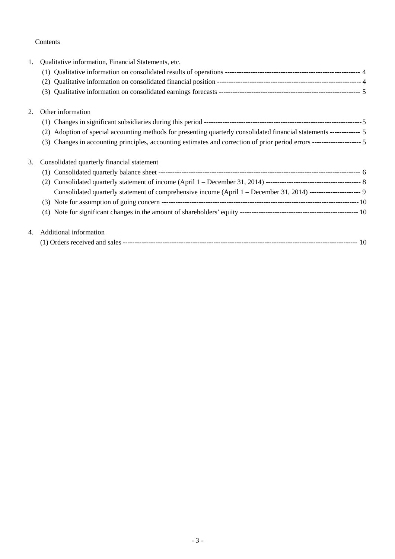### Contents

| 1. | Qualitative information, Financial Statements, etc.                                                                        |  |
|----|----------------------------------------------------------------------------------------------------------------------------|--|
|    |                                                                                                                            |  |
|    | (2)                                                                                                                        |  |
|    | (3)                                                                                                                        |  |
| 2. | Other information                                                                                                          |  |
|    |                                                                                                                            |  |
|    | Adoption of special accounting methods for presenting quarterly consolidated financial statements ------------ 5<br>(2)    |  |
|    | Changes in accounting principles, accounting estimates and correction of prior period errors -------------------- 5<br>(3) |  |
| 3. | Consolidated quarterly financial statement                                                                                 |  |
|    |                                                                                                                            |  |
|    | (2)                                                                                                                        |  |
|    | Consolidated quarterly statement of comprehensive income (April 1 – December 31, 2014) ----------------------- 9           |  |
|    |                                                                                                                            |  |
|    |                                                                                                                            |  |
| 4. | Additional information                                                                                                     |  |
|    |                                                                                                                            |  |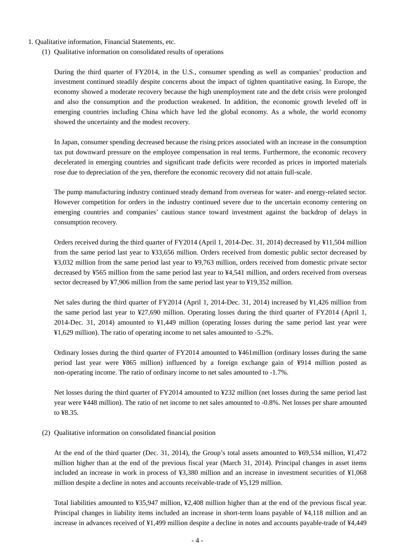- 1. Qualitative information, Financial Statements, etc.
	- (1) Qualitative information on consolidated results of operations

During the third quarter of FY2014, in the U.S., consumer spending as well as companies' production and investment continued steadily despite concerns about the impact of tighten quantitative easing. In Europe, the economy showed a moderate recovery because the high unemployment rate and the debt crisis were prolonged and also the consumption and the production weakened. In addition, the economic growth leveled off in emerging countries including China which have led the global economy. As a whole, the world economy showed the uncertainty and the modest recovery.

In Japan, consumer spending decreased because the rising prices associated with an increase in the consumption tax put downward pressure on the employee compensation in real terms. Furthermore, the economic recovery decelerated in emerging countries and significant trade deficits were recorded as prices in imported materials rose due to depreciation of the yen, therefore the economic recovery did not attain full-scale.

The pump manufacturing industry continued steady demand from overseas for water- and energy-related sector. However competition for orders in the industry continued severe due to the uncertain economy centering on emerging countries and companies' cautious stance toward investment against the backdrop of delays in consumption recovery.

Orders received during the third quarter of FY2014 (April 1, 2014-Dec. 31, 2014) decreased by ¥11,504 million from the same period last year to ¥33,656 million. Orders received from domestic public sector decreased by ¥3,032 million from the same period last year to ¥9,763 million, orders received from domestic private sector decreased by ¥565 million from the same period last year to ¥4,541 million, and orders received from overseas sector decreased by ¥7,906 million from the same period last year to ¥19,352 million.

Net sales during the third quarter of FY2014 (April 1, 2014-Dec. 31, 2014) increased by ¥1,426 million from the same period last year to ¥27,690 million. Operating losses during the third quarter of FY2014 (April 1, 2014-Dec. 31, 2014) amounted to ¥1,449 million (operating losses during the same period last year were ¥1,629 million). The ratio of operating income to net sales amounted to -5.2%.

Ordinary losses during the third quarter of FY2014 amounted to ¥461million (ordinary losses during the same period last year were ¥865 million) influenced by a foreign exchange gain of ¥914 million posted as non-operating income. The ratio of ordinary income to net sales amounted to -1.7%.

Net losses during the third quarter of FY2014 amounted to ¥232 million (net losses during the same period last year were ¥448 million). The ratio of net income to net sales amounted to -0.8%. Net losses per share amounted to ¥8.35.

(2) Qualitative information on consolidated financial position

At the end of the third quarter (Dec. 31, 2014), the Group's total assets amounted to ¥69,534 million, ¥1,472 million higher than at the end of the previous fiscal year (March 31, 2014). Principal changes in asset items included an increase in work in process of ¥3,380 million and an increase in investment securities of ¥1,068 million despite a decline in notes and accounts receivable-trade of ¥5,129 million.

Total liabilities amounted to ¥35,947 million, ¥2,408 million higher than at the end of the previous fiscal year. Principal changes in liability items included an increase in short-term loans payable of ¥4,118 million and an increase in advances received of ¥1,499 million despite a decline in notes and accounts payable-trade of ¥4,449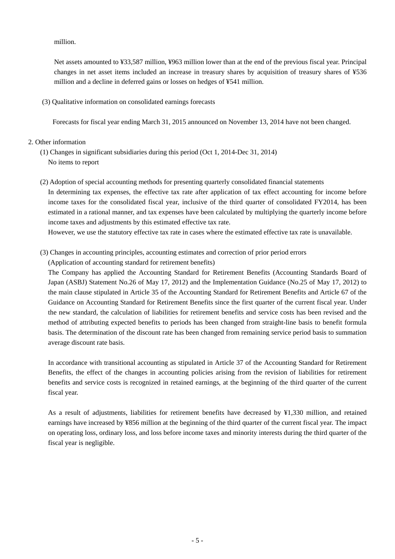million.

Net assets amounted to ¥33,587 million, ¥963 million lower than at the end of the previous fiscal year. Principal changes in net asset items included an increase in treasury shares by acquisition of treasury shares of ¥536 million and a decline in deferred gains or losses on hedges of ¥541 million.

(3) Qualitative information on consolidated earnings forecasts

Forecasts for fiscal year ending March 31, 2015 announced on November 13, 2014 have not been changed.

- 2. Other information
	- (1) Changes in significant subsidiaries during this period (Oct 1, 2014-Dec 31, 2014) No items to report
	- (2) Adoption of special accounting methods for presenting quarterly consolidated financial statements In determining tax expenses, the effective tax rate after application of tax effect accounting for income before income taxes for the consolidated fiscal year, inclusive of the third quarter of consolidated FY2014, has been estimated in a rational manner, and tax expenses have been calculated by multiplying the quarterly income before income taxes and adjustments by this estimated effective tax rate.

However, we use the statutory effective tax rate in cases where the estimated effective tax rate is unavailable.

(3) Changes in accounting principles, accounting estimates and correction of prior period errors

(Application of accounting standard for retirement benefits)

The Company has applied the Accounting Standard for Retirement Benefits (Accounting Standards Board of Japan (ASBJ) Statement No.26 of May 17, 2012) and the Implementation Guidance (No.25 of May 17, 2012) to the main clause stipulated in Article 35 of the Accounting Standard for Retirement Benefits and Article 67 of the Guidance on Accounting Standard for Retirement Benefits since the first quarter of the current fiscal year. Under the new standard, the calculation of liabilities for retirement benefits and service costs has been revised and the method of attributing expected benefits to periods has been changed from straight-line basis to benefit formula basis. The determination of the discount rate has been changed from remaining service period basis to summation average discount rate basis.

In accordance with transitional accounting as stipulated in Article 37 of the Accounting Standard for Retirement Benefits, the effect of the changes in accounting policies arising from the revision of liabilities for retirement benefits and service costs is recognized in retained earnings, at the beginning of the third quarter of the current fiscal year.

As a result of adjustments, liabilities for retirement benefits have decreased by ¥1,330 million, and retained earnings have increased by ¥856 million at the beginning of the third quarter of the current fiscal year. The impact on operating loss, ordinary loss, and loss before income taxes and minority interests during the third quarter of the fiscal year is negligible.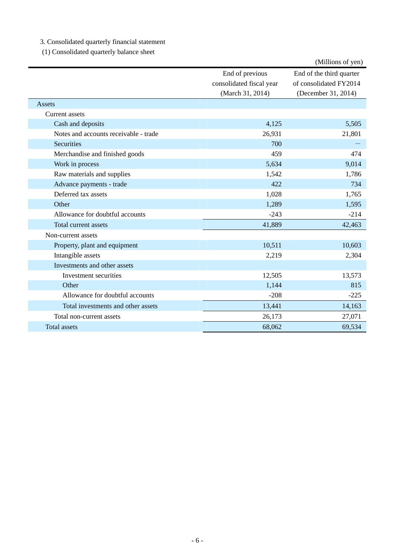3. Consolidated quarterly financial statement

(1) Consolidated quarterly balance sheet

|                                       |                          | (Millions of yen)        |
|---------------------------------------|--------------------------|--------------------------|
|                                       | End of previous          | End of the third quarter |
|                                       | consolidated fiscal year | of consolidated FY2014   |
|                                       | (March 31, 2014)         | (December 31, 2014)      |
| Assets                                |                          |                          |
| Current assets                        |                          |                          |
| Cash and deposits                     | 4,125                    | 5,505                    |
| Notes and accounts receivable - trade | 26,931                   | 21,801                   |
| Securities                            | 700                      |                          |
| Merchandise and finished goods        | 459                      | 474                      |
| Work in process                       | 5,634                    | 9,014                    |
| Raw materials and supplies            | 1,542                    | 1,786                    |
| Advance payments - trade              | 422                      | 734                      |
| Deferred tax assets                   | 1,028                    | 1,765                    |
| Other                                 | 1,289                    | 1,595                    |
| Allowance for doubtful accounts       | $-243$                   | $-214$                   |
| Total current assets                  | 41,889                   | 42,463                   |
| Non-current assets                    |                          |                          |
| Property, plant and equipment         | 10,511                   | 10,603                   |
| Intangible assets                     | 2,219                    | 2,304                    |
| Investments and other assets          |                          |                          |
| Investment securities                 | 12,505                   | 13,573                   |
| Other                                 | 1,144                    | 815                      |
| Allowance for doubtful accounts       | $-208$                   | $-225$                   |
| Total investments and other assets    | 13,441                   | 14,163                   |
| Total non-current assets              | 26,173                   | 27,071                   |
| <b>Total assets</b>                   | 68,062                   | 69,534                   |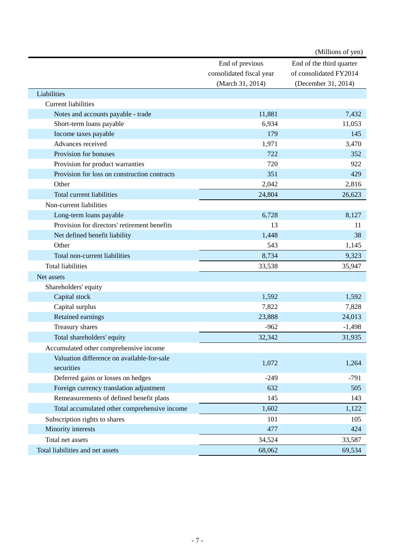|                                              |                          | (Millions of yen)        |
|----------------------------------------------|--------------------------|--------------------------|
|                                              | End of previous          | End of the third quarter |
|                                              | consolidated fiscal year | of consolidated FY2014   |
|                                              | (March 31, 2014)         | (December 31, 2014)      |
| Liabilities                                  |                          |                          |
| <b>Current liabilities</b>                   |                          |                          |
| Notes and accounts payable - trade           | 11,881                   | 7,432                    |
| Short-term loans payable                     | 6,934                    | 11,053                   |
| Income taxes payable                         | 179                      | 145                      |
| Advances received                            | 1,971                    | 3,470                    |
| Provision for bonuses                        | 722                      | 352                      |
| Provision for product warranties             | 720                      | 922                      |
| Provision for loss on construction contracts | 351                      | 429                      |
| Other                                        | 2,042                    | 2,816                    |
| Total current liabilities                    | 24,804                   | 26,623                   |
| Non-current liabilities                      |                          |                          |
| Long-term loans payable                      | 6,728                    | 8,127                    |
| Provision for directors' retirement benefits | 13                       | 11                       |
| Net defined benefit liability                | 1,448                    | 38                       |
| Other                                        | 543                      | 1,145                    |
| Total non-current liabilities                | 8,734                    | 9,323                    |
| <b>Total liabilities</b>                     | 33,538                   | 35,947                   |
| Net assets                                   |                          |                          |
| Shareholders' equity                         |                          |                          |
| Capital stock                                | 1,592                    | 1,592                    |
| Capital surplus                              | 7,822                    | 7,828                    |
| Retained earnings                            | 23,888                   | 24,013                   |
| Treasury shares                              | $-962$                   | $-1,498$                 |
| Total shareholders' equity                   | 32,342                   | 31,935                   |
| Accumulated other comprehensive income       |                          |                          |
| Valuation difference on available-for-sale   |                          |                          |
| securities                                   | 1,072                    | 1,264                    |
| Deferred gains or losses on hedges           | $-249$                   | $-791$                   |
| Foreign currency translation adjustment      | 632                      | 505                      |
| Remeasurements of defined benefit plans      | 145                      | 143                      |
| Total accumulated other comprehensive income | 1,602                    | 1,122                    |
| Subscription rights to shares                | 101                      | 105                      |
| Minority interests                           | 477                      | 424                      |
| Total net assets                             | 34,524                   | 33,587                   |
| Total liabilities and net assets             | 68,062                   | 69,534                   |
|                                              |                          |                          |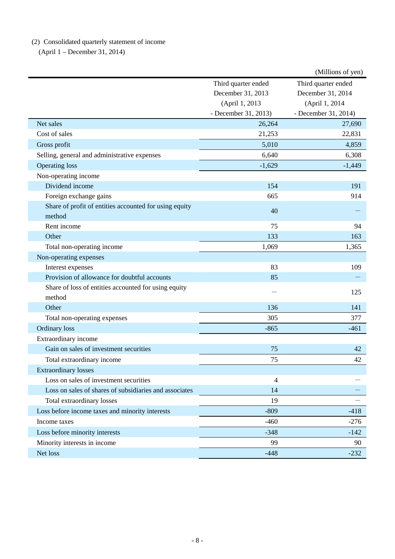# (2) Consolidated quarterly statement of income

(April 1 – December 31, 2014)

|                                                        |                      | (Millions of yen)    |
|--------------------------------------------------------|----------------------|----------------------|
|                                                        | Third quarter ended  | Third quarter ended  |
|                                                        | December 31, 2013    | December 31, 2014    |
|                                                        | (April 1, 2013       | (April 1, 2014       |
|                                                        | - December 31, 2013) | - December 31, 2014) |
| Net sales                                              | 26,264               | 27,690               |
| Cost of sales                                          | 21,253               | 22,831               |
| Gross profit                                           | 5,010                | 4,859                |
| Selling, general and administrative expenses           | 6,640                | 6,308                |
| <b>Operating loss</b>                                  | $-1,629$             | $-1,449$             |
| Non-operating income                                   |                      |                      |
| Dividend income                                        | 154                  | 191                  |
| Foreign exchange gains                                 | 665                  | 914                  |
| Share of profit of entities accounted for using equity | 40                   |                      |
| method                                                 |                      |                      |
| Rent income                                            | 75                   | 94                   |
| Other                                                  | 133                  | 163                  |
| Total non-operating income                             | 1,069                | 1,365                |
| Non-operating expenses                                 |                      |                      |
| Interest expenses                                      | 83                   | 109                  |
| Provision of allowance for doubtful accounts           | 85                   |                      |
| Share of loss of entities accounted for using equity   |                      | 125                  |
| method                                                 |                      |                      |
| Other                                                  | 136                  | 141                  |
| Total non-operating expenses                           | 305                  | 377                  |
| <b>Ordinary</b> loss                                   | $-865$               | $-461$               |
| Extraordinary income                                   |                      |                      |
| Gain on sales of investment securities                 | 75                   | 42                   |
| Total extraordinary income                             | 75                   | 42                   |
| <b>Extraordinary losses</b>                            |                      |                      |
| Loss on sales of investment securities                 | 4                    |                      |
| Loss on sales of shares of subsidiaries and associates | 14                   |                      |
| Total extraordinary losses                             | 19                   |                      |
| Loss before income taxes and minority interests        | $-809$               | $-418$               |
| Income taxes                                           | $-460$               | $-276$               |
| Loss before minority interests                         | $-348$               | $-142$               |
| Minority interests in income                           | 99                   | 90                   |
| Net loss                                               | $-448$               | $-232$               |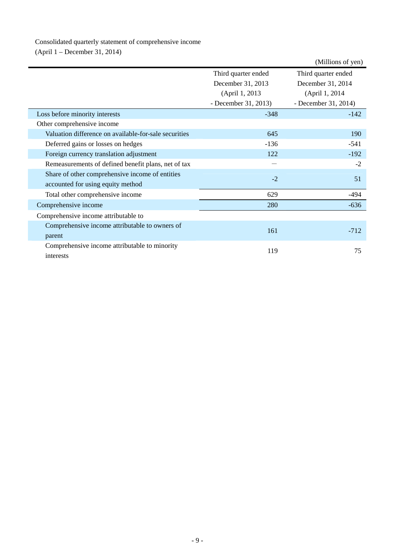# Consolidated quarterly statement of comprehensive income

(April 1 – December 31, 2014)

|                                                       |                      | (Millions of yen)    |
|-------------------------------------------------------|----------------------|----------------------|
|                                                       | Third quarter ended  | Third quarter ended  |
|                                                       | December 31, 2013    | December 31, 2014    |
|                                                       | (April 1, 2013)      | (April 1, 2014)      |
|                                                       | - December 31, 2013) | - December 31, 2014) |
| Loss before minority interests                        | $-348$               | $-142$               |
| Other comprehensive income                            |                      |                      |
| Valuation difference on available-for-sale securities | 645                  | 190                  |
| Deferred gains or losses on hedges                    | $-136$               | $-541$               |
| Foreign currency translation adjustment               | 122                  | $-192$               |
| Remeasurements of defined benefit plans, net of tax   |                      | $-2$                 |
| Share of other comprehensive income of entities       | $-2$                 | 51                   |
| accounted for using equity method                     |                      |                      |
| Total other comprehensive income                      | 629                  | -494                 |
| Comprehensive income                                  | 280                  | $-636$               |
| Comprehensive income attributable to                  |                      |                      |
| Comprehensive income attributable to owners of        |                      |                      |
| parent                                                | 161                  | $-712$               |
| Comprehensive income attributable to minority         |                      |                      |
| interests                                             | 119                  | 75                   |